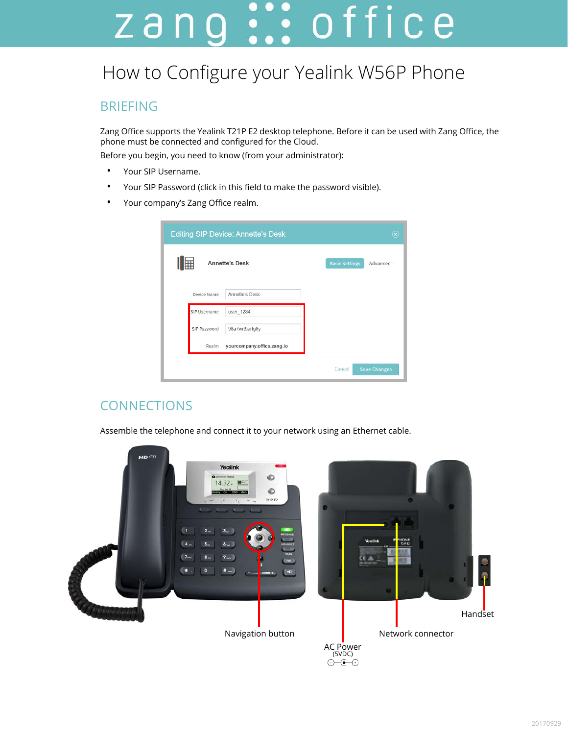# zang ::: office

## How to Configure your Yealink W56P Phone

#### BRIEFING

Zang Office supports the Yealink T21P E2 desktop telephone. Before it can be used with Zang Office, the phone must be connected and configured for the Cloud.

Before you begin, you need to know (from your administrator):

- Your SIP Username.
- Your SIP Password (click in this field to make the password visible).
- Your company's Zang Office realm.

| <b>Editing SIP Device: Annette's Desk</b> | $(\widehat{\mathbf{x}})$          |
|-------------------------------------------|-----------------------------------|
| Ⅱ⊞<br><b>Annette's Desk</b>               | <b>Basic Settings</b><br>Advanced |
| Annette's Desk<br><b>Device Name</b>      |                                   |
| <b>SIP Username</b><br>user_1234          |                                   |
| SIP Password<br>98a7wrt5arfg8y            |                                   |
| yourcompany.office.zang.io<br>Realm       |                                   |
|                                           | <b>Save Changes</b><br>Cancel     |

### **CONNECTIONS**

Assemble the telephone and connect it to your network using an Ethernet cable.

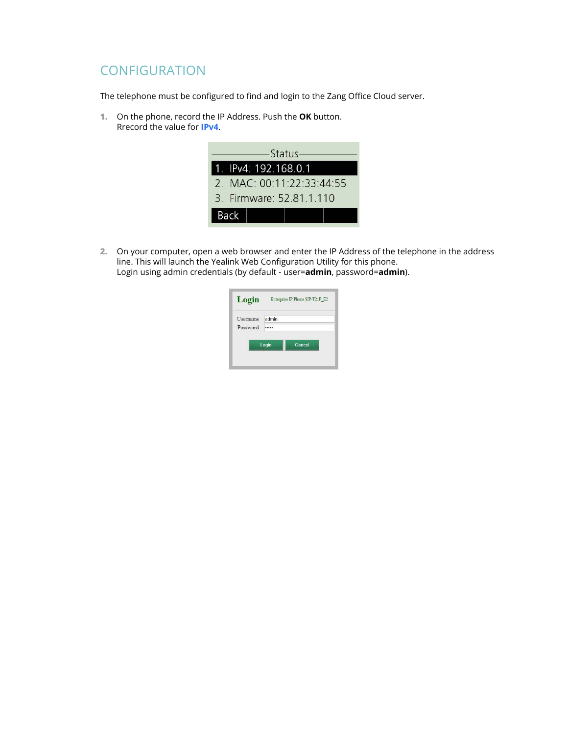#### **CONFIGURATION**

The telephone must be configured to find and login to the Zang Office Cloud server.

**1.** On the phone, record the IP Address. Push the **OK** button. Rrecord the value for **IPv4**.



**2.** On your computer, open a web browser and enter the IP Address of the telephone in the address line. This will launch the Yealink Web Configuration Utility for this phone. Login using admin credentials (by default - user=**admin**, password=**admin**).

| Login    | Enterprise IP Phone SIP-T21P E2 |  |  |
|----------|---------------------------------|--|--|
| Username | admin                           |  |  |
| Password |                                 |  |  |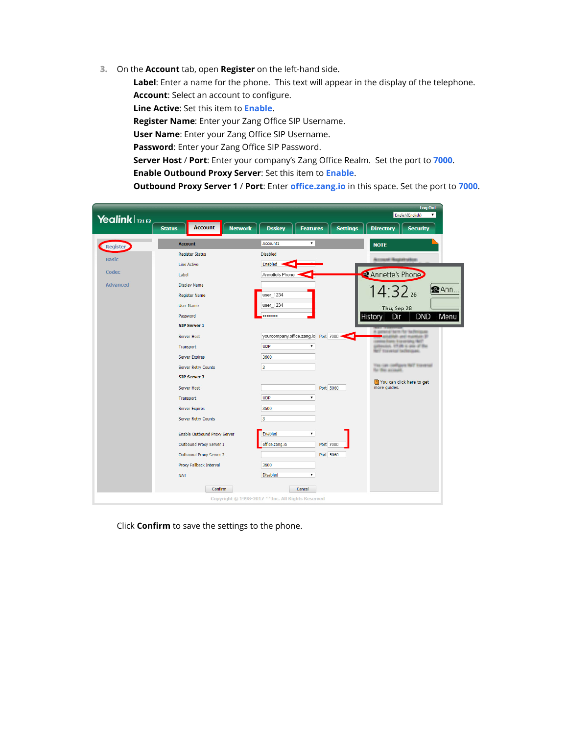**3.** On the **Account** tab, open **Register** on the left-hand side.

**Label**: Enter a name for the phone. This text will appear in the display of the telephone. **Account**: Select an account to configure.

**Line Active**: Set this item to **Enable**.

**Register Name**: Enter your Zang Office SIP Username.

**User Name**: Enter your Zang Office SIP Username.

**Password**: Enter your Zang Office SIP Password.

**Server Host** / **Port**: Enter your company's Zang Office Realm. Set the port to **7000**.

**Enable Outbound Proxy Server**: Set this item to **Enable**.

**Outbound Proxy Server 1** / **Port**: Enter **office.zang.io** in this space. Set the port to **7000**.



Click **Confirm** to save the settings to the phone.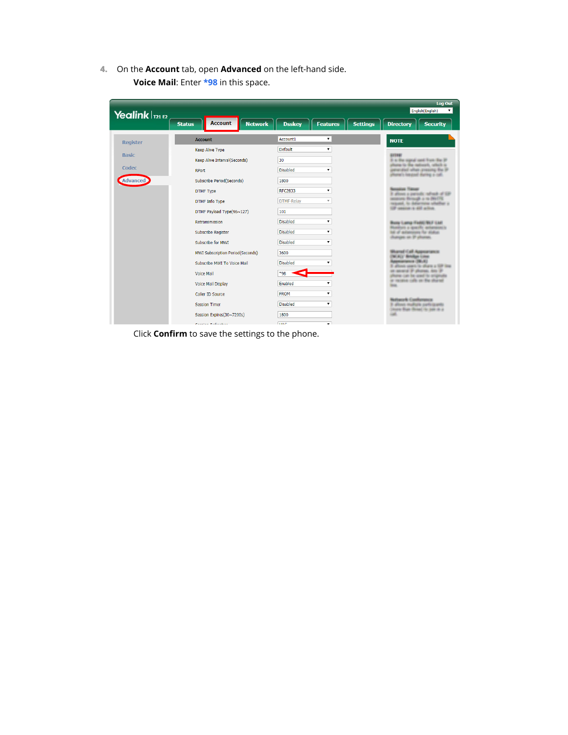**4.** On the **Account** tab, open **Advanced** on the left-hand side. **Voice Mail**: Enter **\*98** in this space.

| Yealink $\ln 2$ |                                                   | <b>Log Out</b><br>English(English)                  |                                                                                                                  |  |  |  |
|-----------------|---------------------------------------------------|-----------------------------------------------------|------------------------------------------------------------------------------------------------------------------|--|--|--|
|                 | <b>Account</b><br><b>Network</b><br><b>Status</b> | <b>Dsskev</b><br><b>Settings</b><br><b>Features</b> | <b>Security</b><br><b>Directory</b>                                                                              |  |  |  |
| <b>Register</b> | <b>Account</b>                                    | Account1                                            | <b>NOTE</b>                                                                                                      |  |  |  |
| <b>Basic</b>    | <b>Keep Alive Type</b>                            | Default<br>7                                        | 31108                                                                                                            |  |  |  |
|                 | Keep Alive Interval(Seconds)                      | 30                                                  | 31-4-The signal well Fresh The 37<br>Phone (6) The refinerity with this                                          |  |  |  |
| Codec           | <b>RPort</b>                                      | <b>Disabled</b>                                     | presented after presing for it<br><b>North Controll, National President</b>                                      |  |  |  |
| Advanced        | Subscribe Period(Seconds)                         | 1800                                                |                                                                                                                  |  |  |  |
|                 | <b>DTMF Type</b>                                  | <b>RFC2833</b>                                      | allow carried refuge of the                                                                                      |  |  |  |
|                 | <b>DTMF</b> Info Type                             | <b>DTMF-Relav</b><br>$\overline{\mathbf{v}}$        | in British is in BUITS.<br>and, its industrialist schools at<br><b>SEP JANAJAH (A) ART ALTIMA</b>                |  |  |  |
|                 | DTMF Payload Type(96~127)                         | 101                                                 |                                                                                                                  |  |  |  |
|                 | <b>Retransmission</b>                             | <b>Disabled</b>                                     | Blues ILamas (Todds) FBLIT ILLG                                                                                  |  |  |  |
|                 | <b>Subscribe Register</b>                         | <b>Disabled</b>                                     | Reserves a specific accompanies<br>NE of accompany for status<br>(Familian service albanas)                      |  |  |  |
|                 | Subscribe for MWT                                 | <b>Disabled</b>                                     |                                                                                                                  |  |  |  |
|                 | <b>MWI Subscription Period(Seconds)</b>           | 3600                                                | Burnt (all Aumenium<br><b>161/412/ (Birtchips: 11 door</b>                                                       |  |  |  |
|                 | Subscribe MWI To Voice Mail                       | <b>Disabled</b>                                     | assesses (1981/93)<br>A LAMPS TO SPARK & TOP THE<br>er-anseni 31 steenes, non 31<br>as con the seed to returnate |  |  |  |
|                 | <b>Voice Mail</b>                                 | $*98$                                               |                                                                                                                  |  |  |  |
|                 | <b>Voice Mail Display</b>                         | Enabled<br>$\pmb{\mathrm{v}}$                       | at receive rath-se the diseast<br><b>Birgs</b>                                                                   |  |  |  |
|                 | Caller ID Source                                  | <b>FROM</b><br>$\mathbf{v}$                         |                                                                                                                  |  |  |  |
|                 | <b>Session Timer</b>                              | <b>Disabled</b><br>7                                | <b>National Conference</b><br>allioso mallale aseliciaserio                                                      |  |  |  |
|                 | Session Expires(30~7200s)                         | 1800                                                | Division Plage (Renault Sections) and                                                                            |  |  |  |
|                 | Constant District on                              | <b>TIAC</b>                                         |                                                                                                                  |  |  |  |

Click **Confirm** to save the settings to the phone.